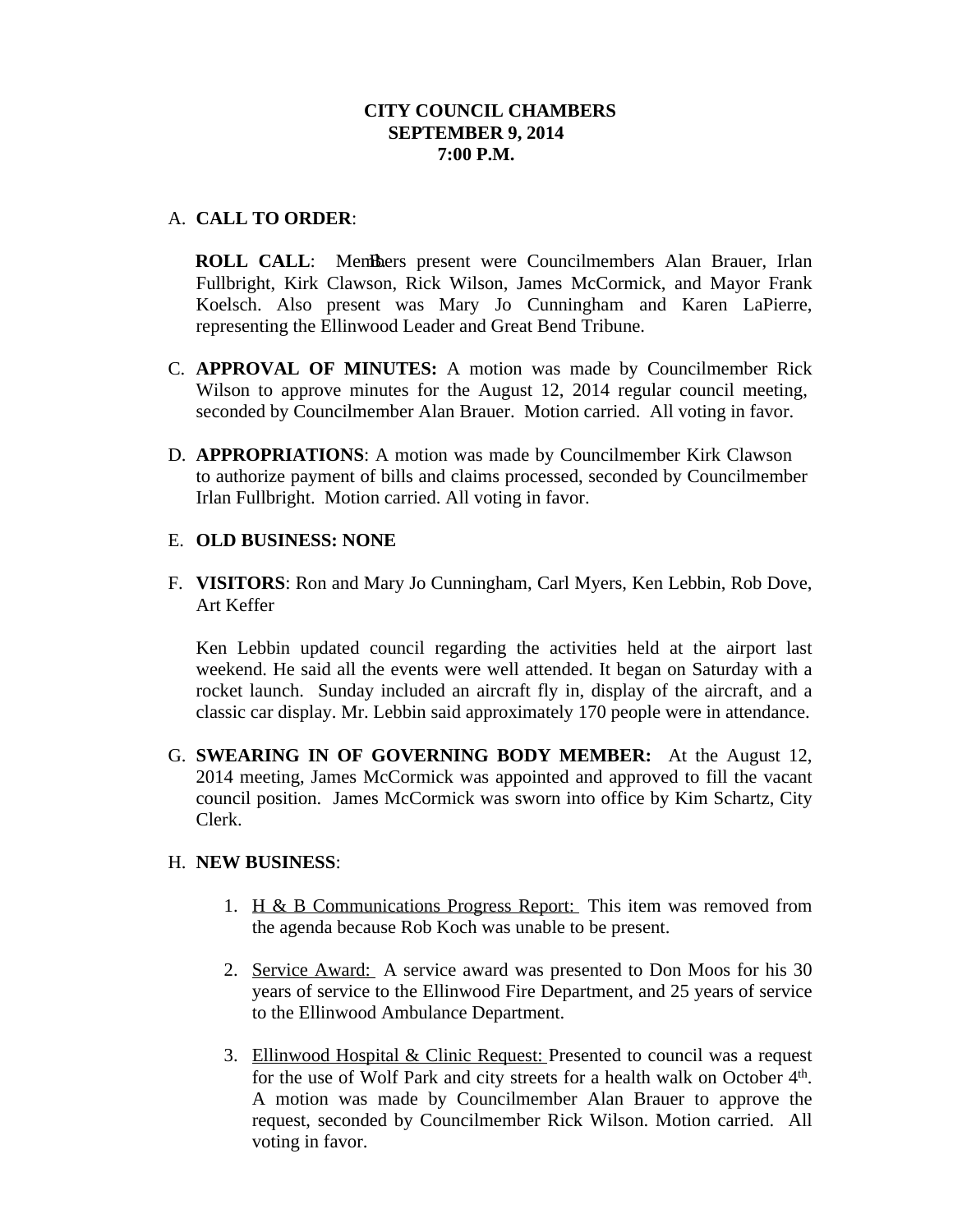# **CITY COUNCIL CHAMBERS SEPTEMBER 9, 2014 7:00 P.M.**

# A. **CALL TO ORDER**:

**ROLL CALL:** Members present were Councilmembers Alan Brauer, Irlan Fullbright, Kirk Clawson, Rick Wilson, James McCormick, and Mayor Frank Koelsch. Also present was Mary Jo Cunningham and Karen LaPierre, representing the Ellinwood Leader and Great Bend Tribune.

- C. **APPROVAL OF MINUTES:** A motion was made by Councilmember Rick Wilson to approve minutes for the August 12, 2014 regular council meeting, seconded by Councilmember Alan Brauer. Motion carried. All voting in favor.
- D. **APPROPRIATIONS**: A motion was made by Councilmember Kirk Clawson to authorize payment of bills and claims processed, seconded by Councilmember Irlan Fullbright. Motion carried. All voting in favor.

# E. **OLD BUSINESS: NONE**

F. **VISITORS**: Ron and Mary Jo Cunningham, Carl Myers, Ken Lebbin, Rob Dove, Art Keffer

Ken Lebbin updated council regarding the activities held at the airport last weekend. He said all the events were well attended. It began on Saturday with a rocket launch. Sunday included an aircraft fly in, display of the aircraft, and a classic car display. Mr. Lebbin said approximately 170 people were in attendance.

G. **SWEARING IN OF GOVERNING BODY MEMBER:** At the August 12, 2014 meeting, James McCormick was appointed and approved to fill the vacant council position. James McCormick was sworn into office by Kim Schartz, City Clerk.

# H. **NEW BUSINESS**:

- 1. H & B Communications Progress Report: This item was removed from the agenda because Rob Koch was unable to be present.
- 2. Service Award: A service award was presented to Don Moos for his 30 years of service to the Ellinwood Fire Department, and 25 years of service to the Ellinwood Ambulance Department.
- 3. Ellinwood Hospital & Clinic Request: Presented to council was a request for the use of Wolf Park and city streets for a health walk on October 4<sup>th</sup>. A motion was made by Councilmember Alan Brauer to approve the request, seconded by Councilmember Rick Wilson. Motion carried. All voting in favor.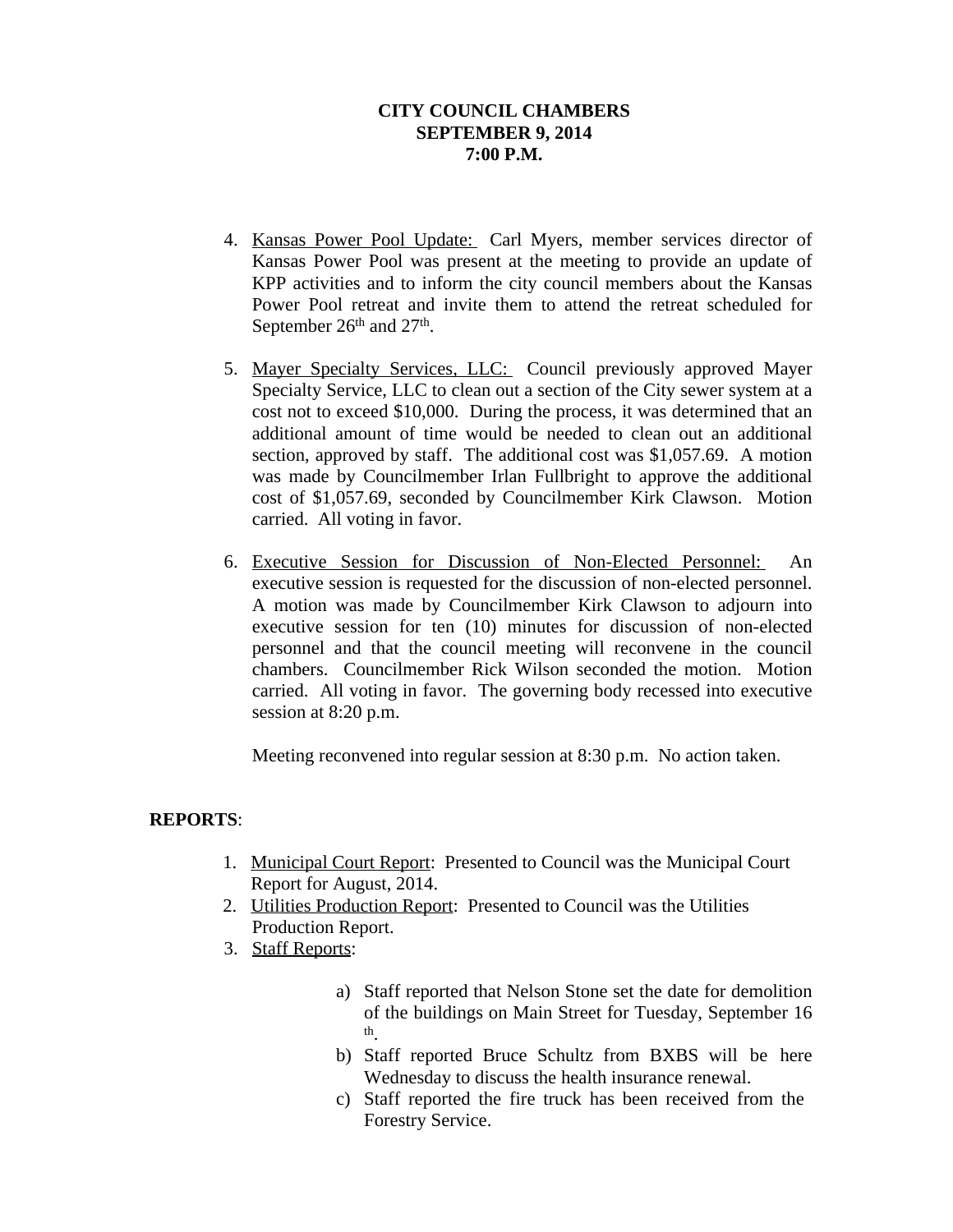# **CITY COUNCIL CHAMBERS SEPTEMBER 9, 2014 7:00 P.M.**

- 4. Kansas Power Pool Update: Carl Myers, member services director of Kansas Power Pool was present at the meeting to provide an update of KPP activities and to inform the city council members about the Kansas Power Pool retreat and invite them to attend the retreat scheduled for September 26<sup>th</sup> and 27<sup>th</sup>.
- 5. Mayer Specialty Services, LLC: Council previously approved Mayer Specialty Service, LLC to clean out a section of the City sewer system at a cost not to exceed \$10,000. During the process, it was determined that an additional amount of time would be needed to clean out an additional section, approved by staff. The additional cost was \$1,057.69. A motion was made by Councilmember Irlan Fullbright to approve the additional cost of \$1,057.69, seconded by Councilmember Kirk Clawson. Motion carried. All voting in favor.
- 6. Executive Session for Discussion of Non-Elected Personnel: An executive session is requested for the discussion of non-elected personnel. A motion was made by Councilmember Kirk Clawson to adjourn into executive session for ten (10) minutes for discussion of non-elected personnel and that the council meeting will reconvene in the council chambers. Councilmember Rick Wilson seconded the motion. Motion carried. All voting in favor. The governing body recessed into executive session at 8:20 p.m.

Meeting reconvened into regular session at 8:30 p.m. No action taken.

# **REPORTS**:

- 1. Municipal Court Report: Presented to Council was the Municipal Court Report for August, 2014.
- 2. Utilities Production Report: Presented to Council was the Utilities Production Report.
- 3. Staff Reports:
	- a) Staff reported that Nelson Stone set the date for demolition of the buildings on Main Street for Tuesday, September 16 th .
	- b) Staff reported Bruce Schultz from BXBS will be here Wednesday to discuss the health insurance renewal.
	- c) Staff reported the fire truck has been received from the Forestry Service.